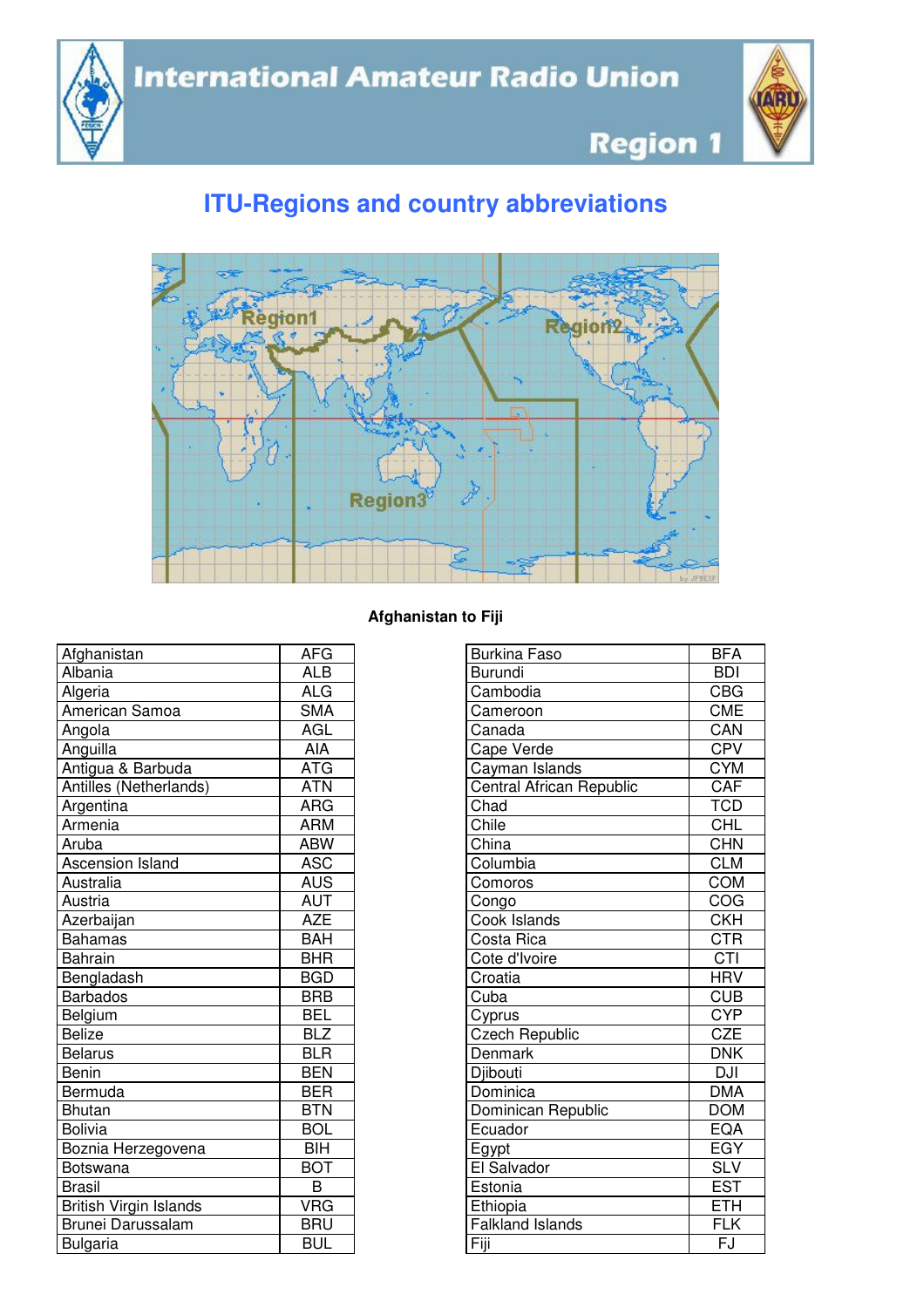



**Region 1** 

## **ITU-Regions and country abbreviations**



## **Afghanistan to Fiji**

| Afghanistan                   | <b>AFG</b>     | <b>Burkina Faso</b>             | <b>BFA</b> |
|-------------------------------|----------------|---------------------------------|------------|
| Albania                       | <b>ALB</b>     | Burundi                         | <b>BDI</b> |
| Algeria                       | <b>ALG</b>     | Cambodia                        | <b>CBG</b> |
| American Samoa                | <b>SMA</b>     | Cameroon                        | <b>CME</b> |
| Angola                        | <b>AGL</b>     | Canada                          | CAN        |
| Anguilla                      | AIA            | Cape Verde                      | <b>CPV</b> |
| Antigua & Barbuda             | <b>ATG</b>     | Cayman Islands                  | <b>CYM</b> |
| Antilles (Netherlands)        | <b>ATN</b>     | <b>Central African Republic</b> | <b>CAF</b> |
| Argentina                     | <b>ARG</b>     | Chad                            | <b>TCD</b> |
| Armenia                       | <b>ARM</b>     | Chile                           | CHL        |
| Aruba                         | <b>ABW</b>     | China                           | <b>CHN</b> |
| Ascension Island              | <b>ASC</b>     | Columbia                        | <b>CLM</b> |
| Australia                     | <b>AUS</b>     | Comoros                         | COM        |
| Austria                       | <b>AUT</b>     | Congo                           | COG        |
| Azerbaijan                    | <b>AZE</b>     | Cook Islands                    | <b>CKH</b> |
| <b>Bahamas</b>                | <b>BAH</b>     | Costa Rica                      | <b>CTR</b> |
| Bahrain                       | <b>BHR</b>     | Cote d'Ivoire                   | <b>CTI</b> |
| Bengladash                    | <b>BGD</b>     | Croatia                         | <b>HRV</b> |
| <b>Barbados</b>               | <b>BRB</b>     | Cuba                            | <b>CUB</b> |
| Belgium                       | <b>BEL</b>     | Cyprus                          | <b>CYP</b> |
| <b>Belize</b>                 | <b>BLZ</b>     | <b>Czech Republic</b>           | <b>CZE</b> |
| <b>Belarus</b>                | <b>BLR</b>     | <b>Denmark</b>                  | <b>DNK</b> |
| Benin                         | <b>BEN</b>     | Djibouti                        | DJI        |
| Bermuda                       | <b>BER</b>     | Dominica                        | <b>DMA</b> |
| <b>Bhutan</b>                 | <b>BTN</b>     | Dominican Republic              | <b>DOM</b> |
| <b>Bolivia</b>                | <b>BOL</b>     | Ecuador                         | <b>EQA</b> |
| Boznia Herzegovena            | <b>BIH</b>     | Egypt                           | <b>EGY</b> |
| <b>Botswana</b>               | <b>BOT</b>     | El Salvador                     | <b>SLV</b> |
| <b>Brasil</b>                 | $\overline{B}$ | Estonia                         | <b>EST</b> |
| <b>British Virgin Islands</b> | <b>VRG</b>     | Ethiopia                        | ETH.       |
| Brunei Darussalam             | <b>BRU</b>     | <b>Falkland Islands</b>         | <b>FLK</b> |
| <b>Bulgaria</b>               | <b>BUL</b>     | Fiji                            | FJ         |

| <b>Burkina Faso</b>      | <b>BFA</b>      |
|--------------------------|-----------------|
| <b>Burundi</b>           | <b>BDI</b>      |
| Cambodia                 | CBG             |
| Cameroon                 | <b>CME</b>      |
| Canada                   | CAN             |
| Cape Verde               | <b>CPV</b>      |
| Cayman Islands           | <b>CYM</b>      |
| Central African Republic | CAF             |
| Chad                     | <b>TCD</b>      |
| Chile                    | CH <sup>1</sup> |
| China                    | <b>CHN</b>      |
| Columbia                 | <b>CLM</b>      |
| Comoros                  | <b>COM</b>      |
| Congo                    | COG             |
| Cook Islands             | <b>CKH</b>      |
| Costa Rica               | <b>CTR</b>      |
| Cote d'Ivoire            | <b>CTI</b>      |
| Croatia                  | <b>HRV</b>      |
| Cuba                     | <b>CUB</b>      |
| Cyprus                   | <b>CYP</b>      |
| <b>Czech Republic</b>    | CZE             |
| Denmark                  | <b>DNK</b>      |
| Djibouti                 | DJI             |
| Dominica                 | <b>DMA</b>      |
| Dominican Republic       | <b>DOM</b>      |
| Ecuador                  | <b>EQA</b>      |
| Egypt                    | EGY             |
| El Salvador              | <b>SLV</b>      |
| Estonia                  | <b>EST</b>      |
| Ethiopia                 | <b>ETH</b>      |
| <b>Falkland Islands</b>  | <b>FLK</b>      |
| Fiji                     | FJ              |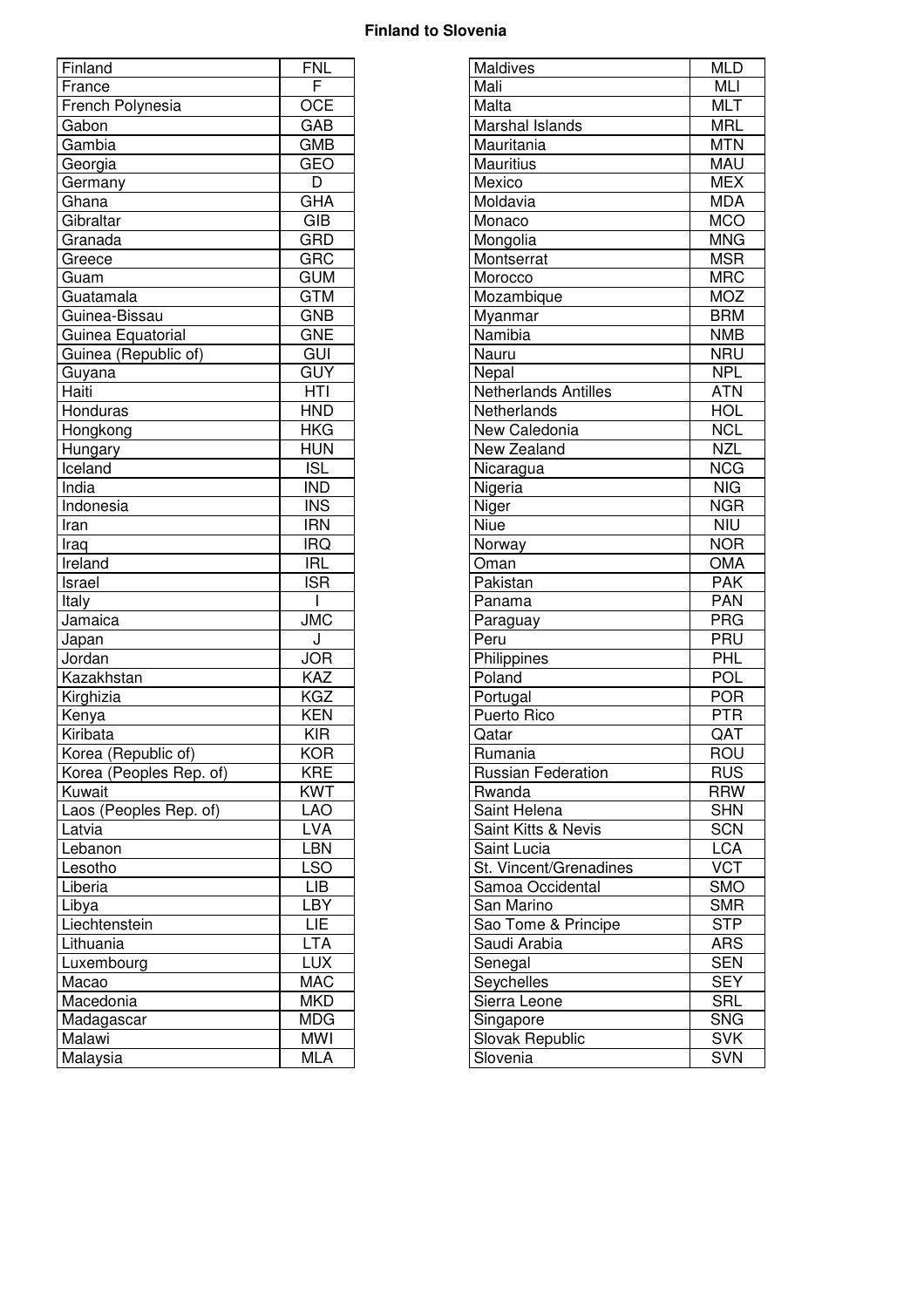## **Finland to Slovenia**

| Finland                 | <b>FNL</b>              | Maldives                    | MLD        |
|-------------------------|-------------------------|-----------------------------|------------|
| France                  | F                       | Mali                        | <b>MLI</b> |
| French Polynesia        | <b>OCE</b>              | Malta                       | <b>MLT</b> |
| Gabon                   | GAB                     | Marshal Islands             | <b>MRL</b> |
| Gambia                  | <b>GMB</b>              | Mauritania                  | <b>MTN</b> |
| Georgia                 | GEO                     | <b>Mauritius</b>            | MAU        |
| Germany                 | D                       | Mexico                      | <b>MEX</b> |
| Ghana                   | <b>GHA</b>              | Moldavia                    | <b>MDA</b> |
| Gibraltar               | <b>GIB</b>              | Monaco                      | <b>MCO</b> |
| Granada                 | GRD                     | Mongolia                    | <b>MNG</b> |
| Greece                  | <b>GRC</b>              | Montserrat                  | <b>MSR</b> |
| Guam                    | <b>GUM</b>              | Morocco                     | <b>MRC</b> |
| Guatamala               | <b>GTM</b>              | Mozambique                  | <b>MOZ</b> |
| Guinea-Bissau           | <b>GNB</b>              | Myanmar                     | <b>BRM</b> |
| Guinea Equatorial       | <b>GNE</b>              | Namibia                     | <b>NMB</b> |
| Guinea (Republic of)    | <b>GUI</b>              | Nauru                       | <b>NRU</b> |
|                         | <b>GUY</b>              | Nepal                       | <b>NPL</b> |
| Guyana<br>Haiti         | HTI                     | <b>Netherlands Antilles</b> | <b>ATN</b> |
|                         | <b>HND</b>              | Netherlands                 | <b>HOL</b> |
| Honduras                | <b>HKG</b>              |                             |            |
| Hongkong                |                         | New Caledonia               | <b>NCL</b> |
| Hungary                 | <b>HUN</b>              | New Zealand                 | <b>NZL</b> |
| Iceland                 | $\overline{ISL}$        | Nicaragua                   | <b>NCG</b> |
| India                   | <b>IND</b>              | Nigeria                     | <b>NIG</b> |
| Indonesia               | <b>INS</b>              | Niger                       | <b>NGR</b> |
| Iran                    | <b>IRN</b>              | Niue                        | <b>NIU</b> |
| Iraq                    | <b>IRQ</b>              | Norway                      | <b>NOR</b> |
| Ireland                 | <b>IRL</b>              | Oman                        | <b>OMA</b> |
| Israel                  | $\overline{\text{ISR}}$ | Pakistan                    | <b>PAK</b> |
| Italy                   |                         | Panama                      | <b>PAN</b> |
| Jamaica                 | <b>JMC</b>              | Paraguay                    | <b>PRG</b> |
| Japan                   | J                       | Peru                        | PRU        |
| Jordan                  | <b>JOR</b>              | Philippines                 | PHL        |
| Kazakhstan              | <b>KAZ</b>              | Poland                      | <b>POL</b> |
| Kirghizia               | <b>KGZ</b>              | Portugal                    | <b>POR</b> |
| Kenya                   | <b>KEN</b>              | Puerto Rico                 | <b>PTR</b> |
| Kiribata                | <b>KIR</b>              | Qatar                       | QAT        |
| Korea (Republic of)     | <b>KOR</b>              | Rumania                     | ROU        |
| Korea (Peoples Rep. of) | <b>KRE</b>              | <b>Russian Federation</b>   | <b>RUS</b> |
| Kuwait                  | <b>KWT</b>              | Rwanda                      | <b>RRW</b> |
| Laos (Peoples Rep. of)  | <b>LAO</b>              | Saint Helena                | <b>SHN</b> |
| Latvia                  | <b>LVA</b>              | Saint Kitts & Nevis         | <b>SCN</b> |
| Lebanon                 | <b>LBN</b>              | Saint Lucia                 | <b>LCA</b> |
| Lesotho                 | <b>LSO</b>              | St. Vincent/Grenadines      | <b>VCT</b> |
| Liberia                 | <b>LIB</b>              | Samoa Occidental            | <b>SMO</b> |
| Libya                   | <b>LBY</b>              | San Marino                  | <b>SMR</b> |
| Liechtenstein           | LIE.                    | Sao Tome & Principe         | <b>STP</b> |
| Lithuania               | <b>LTA</b>              | Saudi Arabia                | <b>ARS</b> |
| Luxembourg              | <b>LUX</b>              | Senegal                     | <b>SEN</b> |
| Macao                   | <b>MAC</b>              | Seychelles                  | <b>SEY</b> |
| Macedonia               | <b>MKD</b>              | Sierra Leone                | <b>SRL</b> |
| Madagascar              | <b>MDG</b>              | Singapore                   | <b>SNG</b> |
| Malawi                  | <b>MWI</b>              | Slovak Republic             | <b>SVK</b> |
| Malaysia                | <b>MLA</b>              | Slovenia                    | SVN        |
|                         |                         |                             |            |

| $\overline{\mathsf{Fin}}$ and | <b>FNL</b>      | Maldives                  | <b>MLD</b>        |
|-------------------------------|-----------------|---------------------------|-------------------|
| France                        | F               | Mali                      | <b>MLI</b>        |
| French Polynesia              | <b>OCE</b>      | Malta                     | <b>MLT</b>        |
| Gabon                         | GAB             | Marshal Islands           | <b>MRL</b>        |
| Gambia                        | <b>GMB</b>      | Mauritania                | <b>MTN</b>        |
| Georgia                       | <b>GEO</b>      | <b>Mauritius</b>          | <b>MAU</b>        |
| Germany                       | D               | Mexico                    | <b>MEX</b>        |
| Ghana                         | <b>GHA</b>      | Moldavia                  | <b>MDA</b>        |
| Gibraltar                     | <b>GIB</b>      | Monaco                    | <b>MCO</b>        |
| Granada                       | <b>GRD</b>      | Mongolia                  | <b>MNG</b>        |
| Greece                        | <b>GRC</b>      | Montserrat                | <b>MSR</b>        |
| Guam                          | <b>GUM</b>      | Morocco                   | <b>MRC</b>        |
| Guatamala                     | <b>GTM</b>      | Mozambique                | <b>MOZ</b>        |
| Guinea-Bissau                 | <b>GNB</b>      | Myanmar                   | <b>BRM</b>        |
| Guinea Equatorial             | <b>GNE</b>      | Namibia                   | <b>NMB</b>        |
| Guinea (Republic of)          | GUI             | Nauru                     | <b>NRU</b>        |
| Guyana                        | <b>GUY</b>      | Nepal                     | <b>NPL</b>        |
| Haiti                         | <b>HTI</b>      | Netherlands Antilles      | <b>ATN</b>        |
| Honduras                      | <b>HND</b>      | Netherlands               | <b>HOL</b>        |
| Hongkong                      | <b>HKG</b>      | New Caledonia             | <b>NCL</b>        |
| Hungary                       | <b>HUN</b>      | New Zealand               | <b>NZL</b>        |
| Iceland                       | <b>ISL</b>      | Nicaragua                 | <b>NCG</b>        |
| India                         | <b>IND</b>      | Nigeria                   | <b>NIG</b>        |
| Indonesia                     | <b>INS</b>      | Niger                     | <b>NGR</b>        |
| Iran                          | <b>IRN</b>      | Niue                      | <b>NIU</b>        |
|                               | <b>IRQ</b>      | Norway                    | <b>NOR</b>        |
| Iraq<br>Ireland               | <b>IRL</b>      | Oman                      | <b>OMA</b>        |
| Israel                        | <b>ISR</b>      | Pakistan                  | <b>PAK</b>        |
|                               |                 |                           | <b>PAN</b>        |
| Italy                         |                 | Panama                    |                   |
| Jamaica                       | <b>JMC</b><br>J | Paraguay<br>Peru          | <b>PRG</b><br>PRU |
| Japan                         |                 |                           | PHL               |
| Jordan                        | <b>JOR</b>      | Philippines               | <b>POL</b>        |
| Kazakhstan                    | <b>KAZ</b>      | Poland                    |                   |
| Kirghizia                     | <b>KGZ</b>      | Portugal                  | <b>POR</b>        |
| Kenya                         | <b>KEN</b>      | Puerto Rico               | <b>PTR</b>        |
| Kiribata                      | <b>KIR</b>      | Qatar                     | QAT               |
| Korea (Republic of)           | <b>KOR</b>      | Rumania                   | <b>ROU</b>        |
| Korea (Peoples Rep. of)       | <b>KRE</b>      | <b>Russian Federation</b> | <b>RUS</b>        |
| Kuwait                        | <b>KWT</b>      | Rwanda                    | <b>RRW</b>        |
| Laos (Peoples Rep. of)        | <b>LAO</b>      | Saint Helena              | <b>SHN</b>        |
| Latvia                        | <b>LVA</b>      | Saint Kitts & Nevis       | <b>SCN</b>        |
| Lebanon                       | LBN             | Saint Lucia               | <b>LCA</b>        |
| Lesotho                       | <b>LSO</b>      | St. Vincent/Grenadines    | <b>VCT</b>        |
| Liberia                       | LIB             | Samoa Occidental          | <b>SMO</b>        |
| Libya                         | <b>LBY</b>      | San Marino                | <b>SMR</b>        |
| Liechtenstein                 | LIE             | Sao Tome & Principe       | <b>STP</b>        |
| Lithuania                     | <b>LTA</b>      | Saudi Arabia              | <b>ARS</b>        |
| Luxembourg                    | <b>LUX</b>      | Senegal                   | <b>SEN</b>        |
| Macao                         | <b>MAC</b>      | Seychelles                | <b>SEY</b>        |
| Macedonia                     | <b>MKD</b>      | Sierra Leone              | SRL               |
| Madagascar                    | <b>MDG</b>      | Singapore                 | <b>SNG</b>        |
| Malawi                        | <b>MWI</b>      | Slovak Republic           | <b>SVK</b>        |
| Malaysia                      | <b>MLA</b>      | Slovenia                  | <b>SVN</b>        |